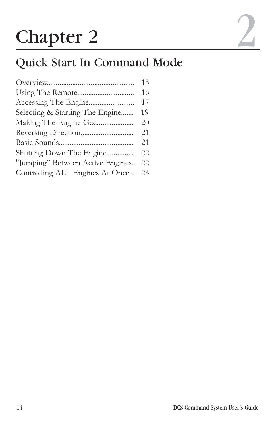# Chapter 2

|                                    | 15 |
|------------------------------------|----|
|                                    | 16 |
|                                    | 17 |
| Selecting & Starting The Engine    | 19 |
|                                    | 20 |
|                                    | 21 |
|                                    | 21 |
| Shutting Down The Engine           | 22 |
| "Jumping" Between Active Engines   | 22 |
| Controlling ALL Engines At Once 23 |    |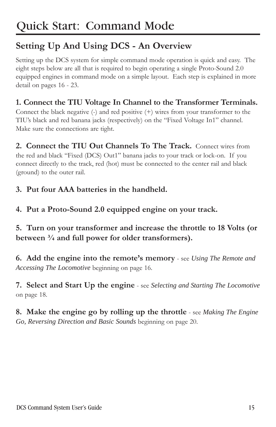## **Setting Up And Using DCS - An Overview**

Setting up the DCS system for simple command mode operation is quick and easy. The eight steps below are all that is required to begin operating a single Proto-Sound 2.0 equipped engines in command mode on a simple layout. Each step is explained in more detail on pages 16 - 23.

#### **1. Connect the TIU Voltage In Channel to the Transformer Terminals.**

Connect the black negative  $(-)$  and red positive  $(+)$  wires from your transformer to the TIU's black and red banana jacks (respectively) on the "Fixed Voltage In1" channel. Make sure the connections are tight.

**2. Connect the TIU Out Channels To The Track.** Connect wires from the red and black "Fixed (DCS) Out1" banana jacks to your track or lock-on. If you connect directly to the track, red (hot) must be connected to the center rail and black (ground) to the outer rail.

- **3. Put four AAA batteries in the handheld.**
- **4. Put a Proto-Sound 2.0 equipped engine on your track.**

#### **5. Turn on your transformer and increase the throttle to 18 Volts (or between ¾ and full power for older transformers).**

**6. Add the engine into the remote's memory** - see *Using The Remote and Accessing The Locomotive* beginning on page 16.

**7. Select and Start Up the engine** - see *Selecting and Starting The Locomotive* on page 18.

**8. Make the engine go by rolling up the throttle** - see *Making The Engine Go, Reversing Direction and Basic Sounds* beginning on page 20.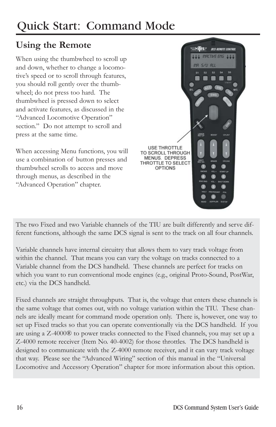#### **Using the Remote**

When using the thumbwheel to scroll up and down, whether to change a locomotive's speed or to scroll through features, you should roll gently over the thumbwheel; do not press too hard. The thumbwheel is pressed down to select and activate features, as discussed in the "Advanced Locomotive Operation" section." Do not attempt to scroll and press at the same time.

When accessing Menu functions, you will use a combination of button presses and thumbwheel scrolls to access and move through menus, as described in the "Advanced Operation" chapter.



The two Fixed and two Variable channels of the TIU are built differently and serve different functions, although the same DCS signal is sent to the track on all four channels.

Variable channels have internal circuitry that allows them to vary track voltage from within the channel. That means you can vary the voltage on tracks connected to a Variable channel from the DCS handheld. These channels are perfect for tracks on which you want to run conventional mode engines (e.g., original Proto-Sound, PostWar, etc.) via the DCS handheld.

Fixed channels are straight throughputs. That is, the voltage that enters these channels is the same voltage that comes out, with no voltage variation within the TIU. These channels are ideally meant for command mode operation only. There is, however, one way to set up Fixed tracks so that you can operate conventionally via the DCS handheld. If you are using a Z-4000® to power tracks connected to the Fixed channels, you may set up a Z-4000 remote receiver (Item No. 40-4002) for those throttles. The DCS handheld is designed to communicate with the Z-4000 remote receiver, and it can vary track voltage that way. Please see the "Advanced Wiring" section of this manual in the "Universal Locomotive and Accessory Operation" chapter for more information about this option.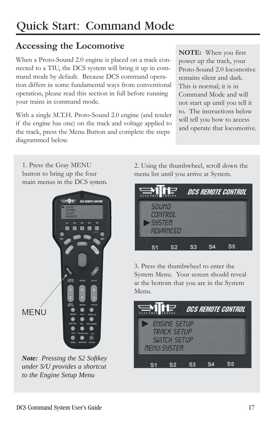## **Accessing the Locomotive**

When a Proto-Sound 2.0 engine is placed on a track connected to a TIU, the DCS system will bring it up in command mode by default. Because DCS command operation differs in some fundamental ways from conventional operation, please read this section in full before running your trains in command mode.

With a single M.T.H. Proto-Sound 2.0 engine (and tender if the engine has one) on the track and voltage applied to the track, press the Menu Button and complete the steps diagrammed below.

**NOTE:** When you first power up the track, your Proto-Sound 2.0 locomotive remains silent and dark. This is normal; it is in Command Mode and will not start up until you tell it to. The instructions below will tell you how to access and operate that locomotive.

1. Press the Gray MENU button to bring up the four main menus in the DCS system.



*Note: Pressing the S2 Softkey under S/U provides a shortcut to the Engine Setup Menu*

2. Using the thumbwheel, scroll down the menu list until you arrive at System.

| $\equiv$ M $\approx$                     |          | DCS REMOTE CONTROL |  |
|------------------------------------------|----------|--------------------|--|
| <b>SOUMD</b><br>CONTROL<br><b>SYSTEM</b> | ROVRNCED |                    |  |
|                                          |          |                    |  |

3. Press the thumbwheel to enter the System Menu. Your screen should reveal at the bottom that you are in the System Menu.

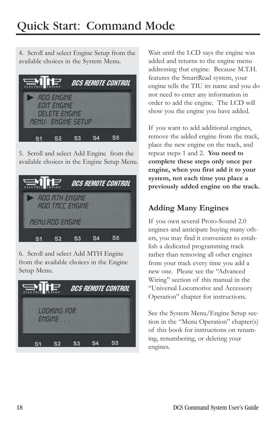4. Scroll and select Engine Setup from the available choices in the System Menu.



5. Scroll and select Add Engine from the available choices in the Engine Setup Menu.



6. Scroll and select Add MTH Engine from the available choices in the Engine Setup Menu.



Wait until the LCD says the engine was added and returns to the engine menu addressing that engine. Because M.T.H. features the SmartRead system, your engine tells the TIU its name and you do not need to enter any information in order to add the engine. The LCD will show you the engine you have added.

If you want to add additional engines, remove the added engine from the track, place the new engine on the track, and repeat steps 1 and 2. **You need to complete these steps only once per engine, when you first add it to your system, not each time you place a previously added engine on the track.**

#### **Adding Many Engines**

If you own several Proto-Sound 2.0 engines and anticipate buying many others, you may find it convenient to establish a dedicated programming track rather than removing all other engines from your track every time you add a new one. Please see the "Advanced Wiring" section of this manual in the "Universal Locomotive and Accessory Operation" chapter for instructions.

See the System Menu/Engine Setup section in the "Menu Operation" chapter(s) of this book for instructions on renaming, renumbering, or deleting your engines.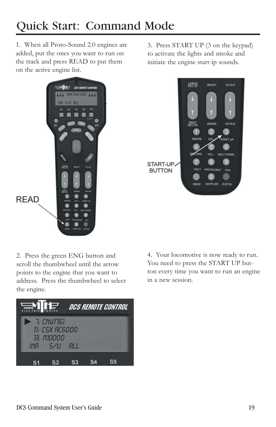1. When all Proto-Sound 2.0 engines are added, put the ones you want to run on the track and press READ to put them on the active engine list.



3. Press START UP (3 on the keypad) to activate the lights and smoke and initiate the engine start-ip sounds.



2. Press the green ENG button and scroll the thumbwheel until the arrow points to the engine that you want to address. Press the thumbwheel to select the engine.



4. Your locomotive is now ready to run. You need to press the START UP button every time you want to run an engine in a new session.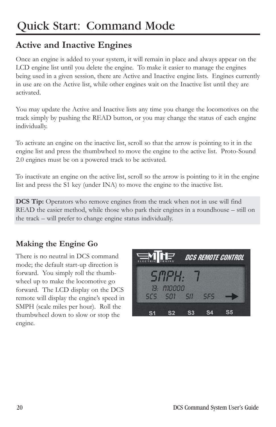### **Active and Inactive Engines**

Once an engine is added to your system, it will remain in place and always appear on the LCD engine list until you delete the engine. To make it easier to manage the engines being used in a given session, there are Active and Inactive engine lists. Engines currently in use are on the Active list, while other engines wait on the Inactive list until they are activated.

You may update the Active and Inactive lists any time you change the locomotives on the track simply by pushing the READ button, or you may change the status of each engine individually.

To activate an engine on the inactive list, scroll so that the arrow is pointing to it in the engine list and press the thumbwheel to move the engine to the active list. Proto-Sound 2.0 engines must be on a powered track to be activated.

To inactivate an engine on the active list, scroll so the arrow is pointing to it in the engine list and press the S1 key (under INA) to move the engine to the inactive list.

**DCS Tip:** Operators who remove engines from the track when not in use will find READ the easier method, while those who park their engines in a roundhouse – still on the track – will prefer to change engine status individually.

#### **Making the Engine Go**

There is no neutral in DCS command mode; the default start-up direction is forward. You simply roll the thumbwheel up to make the locomotive go forward. The LCD display on the DCS remote will display the engine's speed in SMPH (scale miles per hour). Roll the thumbwheel down to slow or stop the engine.

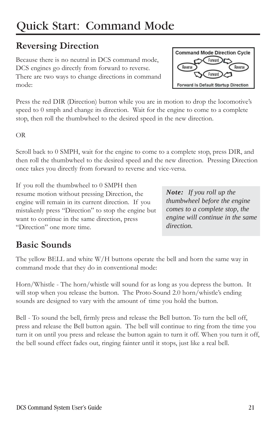#### **Reversing Direction**

Because there is no neutral in DCS command mode, DCS engines go directly from forward to reverse. There are two ways to change directions in command mode:

Press the red DIR (Direction) button while you are in motion to drop the locomotive's speed to 0 smph and change its direction. Wait for the engine to come to a complete stop, then roll the thumbwheel to the desired speed in the new direction.

OR

Scroll back to 0 SMPH, wait for the engine to come to a complete stop, press DIR, and then roll the thumbwheel to the desired speed and the new direction. Pressing Direction once takes you directly from forward to reverse and vice-versa.

If you roll the thumbwheel to 0 SMPH then resume motion without pressing Direction, the engine will remain in its current direction. If you mistakenly press "Direction" to stop the engine but want to continue in the same direction, press "Direction" one more time.

*Note: If you roll up the thumbwheel before the engine comes to a complete stop, the engine will continue in the same direction.*

## **Basic Sounds**

The yellow BELL and white W/H buttons operate the bell and horn the same way in command mode that they do in conventional mode:

Horn/Whistle - The horn/whistle will sound for as long as you depress the button. It will stop when you release the button. The Proto-Sound 2.0 horn/whistle's ending sounds are designed to vary with the amount of time you hold the button.

Bell - To sound the bell, firmly press and release the Bell button. To turn the bell off, press and release the Bell button again. The bell will continue to ring from the time you turn it on until you press and release the button again to turn it off. When you turn it off, the bell sound effect fades out, ringing fainter until it stops, just like a real bell.

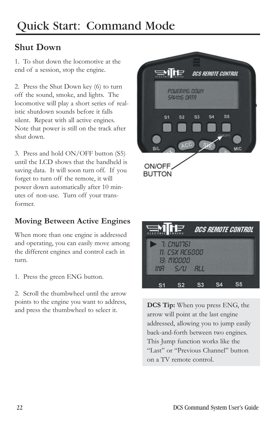#### **Shut Down**

1. To shut down the locomotive at the end of a session, stop the engine.

2. Press the Shut Down key (6) to turn off the sound, smoke, and lights. The locomotive will play a short series of realistic shutdown sounds before it falls silent. Repeat with all active engines. Note that power is still on the track after shut down.

3. Press and hold ON/OFF button (S5) until the LCD shows that the handheld is saving data. It will soon turn off. If you forget to turn off the remote, it will power down automatically after 10 minutes of non-use. Turn off your transformer.

#### **Moving Between Active Engines**

When more than one engine is addressed and operating, you can easily move among the different engines and control each in turn.

1. Press the green ENG button.

2. Scroll the thumbwheel until the arrow points to the engine you want to address, and press the thumbwheel to select it.





**DCS Tip:** When you press ENG, the arrow will point at the last engine addressed, allowing you to jump easily back-and-forth between two engines. This Jump function works like the "Last" or "Previous Channel" button on a TV remote control.